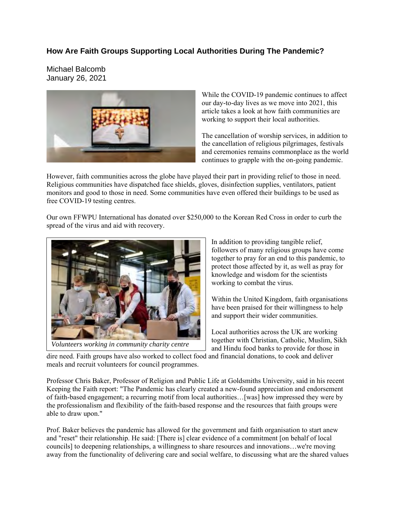## **How Are Faith Groups Supporting Local Authorities During The Pandemic?**

Michael Balcomb January 26, 2021



While the COVID-19 pandemic continues to affect our day-to-day lives as we move into 2021, this article takes a look at how faith communities are working to support their local authorities.

The cancellation of worship services, in addition to the cancellation of religious pilgrimages, festivals and ceremonies remains commonplace as the world continues to grapple with the on-going pandemic.

However, faith communities across the globe have played their part in providing relief to those in need. Religious communities have dispatched face shields, gloves, disinfection supplies, ventilators, patient monitors and good to those in need. Some communities have even offered their buildings to be used as free COVID-19 testing centres.

Our own FFWPU International has donated over \$250,000 to the Korean Red Cross in order to curb the spread of the virus and aid with recovery.



*Volunteers working in community charity centre*

In addition to providing tangible relief, followers of many religious groups have come together to pray for an end to this pandemic, to protect those affected by it, as well as pray for knowledge and wisdom for the scientists working to combat the virus.

Within the United Kingdom, faith organisations have been praised for their willingness to help and support their wider communities.

Local authorities across the UK are working together with Christian, Catholic, Muslim, Sikh and Hindu food banks to provide for those in

dire need. Faith groups have also worked to collect food and financial donations, to cook and deliver meals and recruit volunteers for council programmes.

Professor Chris Baker, Professor of Religion and Public Life at Goldsmiths University, said in his recent Keeping the Faith report: "The Pandemic has clearly created a new-found appreciation and endorsement of faith-based engagement; a recurring motif from local authorities…[was] how impressed they were by the professionalism and flexibility of the faith-based response and the resources that faith groups were able to draw upon."

Prof. Baker believes the pandemic has allowed for the government and faith organisation to start anew and "reset" their relationship. He said: [There is] clear evidence of a commitment [on behalf of local councils] to deepening relationships, a willingness to share resources and innovations…we're moving away from the functionality of delivering care and social welfare, to discussing what are the shared values